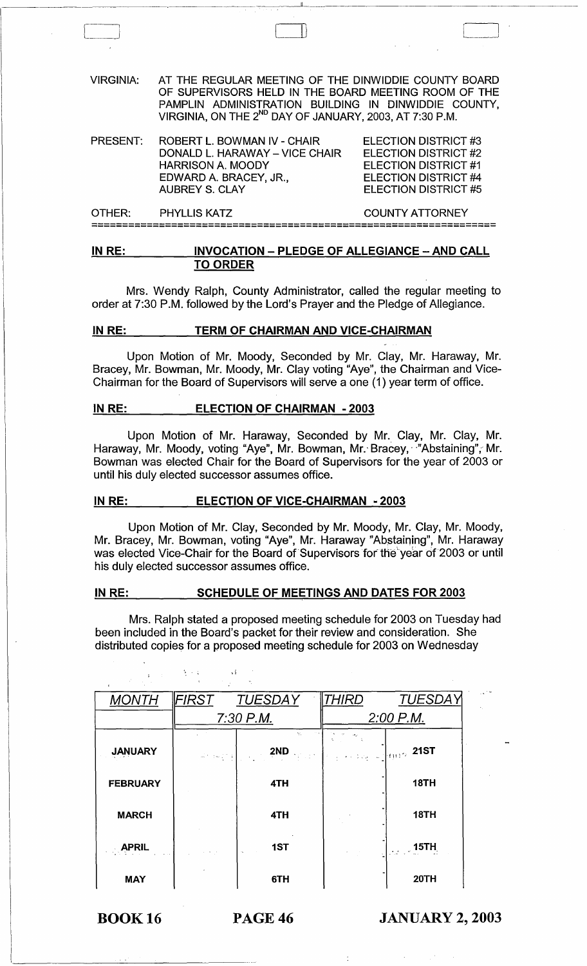VIRGINIA: AT THE REGULAR MEETING OF THE DINWIDDIE COUNTY BOARD OF SUPERVISORS HELD IN THE BOARD MEETING ROOM OF THE PAMPLIN ADMINISTRATION BUILDING IN DINWIDDIE COUNTY, VIRGINIA, ON THE 2<sup>nd</sup> DAY OF JANUARY, 2003, AT 7:30 P.M.

 $\Box$ 

| <b>PRESENT:</b> | ROBERT L. BOWMAN IV - CHAIR    | <b>ELECTION DISTRICT #3</b> |  |  |
|-----------------|--------------------------------|-----------------------------|--|--|
|                 | DONALD L. HARAWAY – VICE CHAIR | <b>ELECTION DISTRICT #2</b> |  |  |
|                 | HARRISON A. MOODY              | ELECTION DISTRICT #1        |  |  |
|                 | EDWARD A. BRACEY, JR.,         | <b>ELECTION DISTRICT #4</b> |  |  |
|                 | AUBREY S. CLAY                 | ELECTION DISTRICT #5        |  |  |
|                 |                                |                             |  |  |

OTHER: PHYLLIS KATZ COUNTY ATTORNEY ------------------------------------------------------------------ ------------------------------------------------------------------

# IN RE: INVOCATION - PLEDGE OF ALLEGIANCE - AND CALL TO ORDER

Mrs. Wendy Ralph, County Administrator, called the regular meeting to order at 7:30 P.M. followed by the Lord's Prayer and the Pledge of Allegiance.

## IN RE: TERM OF CHAIRMAN AND VICE-CHAIRMAN

Upon Motion of Mr. Moody, Seconded by Mr. Clay, Mr. Haraway, Mr. Bracey, Mr. Bowman, Mr. Moody, Mr. Clay voting "Aye", the Chairman and Vice-Chairman for the Board of Supervisors will serve a one (1) year term of office.

#### IN RE: ELECTION OF CHAIRMAN - 2003

Upon Motion of Mr. Haraway, Seconded by Mr.. Clay, Mr. Clay, Mr. Haraway, Mr. Moody, voting "Aye", Mr. Bowman, Mr. Bracey, "Abstaining", Mr. Bowman was elected Chair for the Board of Supervisors for the year of 2003 or until his duly elected successor assumes office.

## IN RE: ELECTION OF VICE-CHAIRMAN - 2003

李子夫人

Upon Motion of Mr. Clay, Seconded by Mr. Moody, Mr. Clay, Mr. Moody, Mr. Bracey, Mr. Bowman, voting "Aye", Mr. Haraway "Abstaining", Mr. Haraway was elected Vice-Chair for the Board of Supervisors for the year of 2003 or until his duly elected successor assumes office.

# IN RE: SCHEDULE OF MEETINGS AND DATES FOR 2003

Mrs. Ralph stated a proposed meeting schedule for 2003 on Tuesday had been included in the Board's packet for their review and consideration. She distributed copies for a proposed meeting schedule for 2003 on Wednesday

| <b>MONTH</b>    | FIRST       | TUESDAY   | <i>THIRD</i>                               | TUESDAY     |
|-----------------|-------------|-----------|--------------------------------------------|-------------|
|                 | $7:30$ P.M. |           | $2:00$ P.M.                                |             |
| <b>JANUARY</b>  | <b>中国国家</b> | M.<br>2ND | $\frac{1}{2}$ (see Fig. ). (m) $\sim$ 21ST |             |
| <b>FEBRUARY</b> |             | 4TH       |                                            | 18TH        |
| <b>MARCH</b>    |             | 4TH       |                                            | <b>18TH</b> |
| <b>APRIL</b>    |             | 1ST       |                                            | $\sim$ 15TH |
| <b>MAY</b>      |             | 6TH       |                                            | 20TH        |

BOOK 16 PAGE 46 JANUARY 2, 2003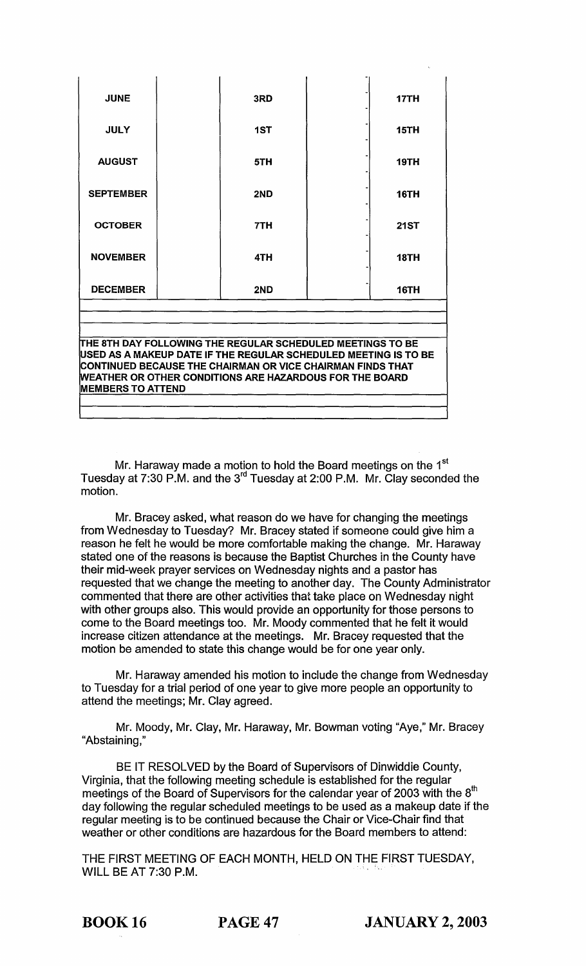| <b>JUNE</b>                                                                                                                  |  | 3RD |  | 17TH        |  |  |
|------------------------------------------------------------------------------------------------------------------------------|--|-----|--|-------------|--|--|
| <b>JULY</b>                                                                                                                  |  | 1ST |  | <b>15TH</b> |  |  |
| <b>AUGUST</b>                                                                                                                |  | 5TH |  | <b>19TH</b> |  |  |
| <b>SEPTEMBER</b>                                                                                                             |  | 2ND |  | <b>16TH</b> |  |  |
| <b>OCTOBER</b>                                                                                                               |  | 7TH |  | <b>21ST</b> |  |  |
| <b>NOVEMBER</b>                                                                                                              |  | 4TH |  | <b>18TH</b> |  |  |
| <b>DECEMBER</b>                                                                                                              |  | 2ND |  | 16TH        |  |  |
|                                                                                                                              |  |     |  |             |  |  |
|                                                                                                                              |  |     |  |             |  |  |
| THE 8TH DAY FOLLOWING THE REGULAR SCHEDULED MEETINGS TO BE                                                                   |  |     |  |             |  |  |
| USED AS A MAKEUP DATE IF THE REGULAR SCHEDULED MEETING IS TO BE                                                              |  |     |  |             |  |  |
| CONTINUED BECAUSE THE CHAIRMAN OR VICE CHAIRMAN FINDS THAT<br><b>WEATHER OR OTHER CONDITIONS ARE HAZARDOUS FOR THE BOARD</b> |  |     |  |             |  |  |
| <b>MEMBERS TO ATTEND</b>                                                                                                     |  |     |  |             |  |  |
|                                                                                                                              |  |     |  |             |  |  |
|                                                                                                                              |  |     |  |             |  |  |

Mr. Haraway made a motion to hold the Board meetings on the 1 $^{\mathrm{st}}$ Tuesday at 7:30 P.M. and the 3 $^{\text{rd}}$  Tuesday at 2:00 P.M. Mr. Clay seconded the motion.

Mr. Bracey asked, what reason do we have for changing the meetings from Wednesday to Tuesday? Mr. Bracey stated if someone could give him a reason he felt he would be more comfortable making the change. Mr. Haraway stated one of the reasons is because the Baptist Churches in the County have their mid-week prayer services on Wednesday nights and a pastor has requested that we change the meeting to another day. The County Administrator commented that there are other activities that take place on Wednesday night with other groups also. This would provide an opportunity for those persons to come to the Board meetings too. Mr. Moody commented that he felt it would increase citizen attendance at the meetings. Mr. Bracey requested that the motion be amended to state this change would be for one year only.

Mr. Haraway amended his motion to include the change from Wednesday to Tuesday for a trial period of one year to give more people an opportunity to attend the meetings; Mr. Clay agreed.

Mr. Moody, Mr. Clay, Mr. Haraway, Mr. Bowman voting "Aye," Mr. Bracey "Abstaining,"

BE IT RESOLVED by the Board of Supervisors of Dinwiddie County, Virginia, that the following meeting schedule is established for the regular meetings of the Board of Supervisors for the calendar year of 2003 with the  $8^{\text{th}}$ day following the regular scheduled meetings to be used as a makeup date if the regular meeting is to be continued because the Chair or Vice-Chair find that weather or other conditions are hazardous for the Board members to attend:

THE FIRST MEETING OF EACH MONTH, HELD ON THE FIRST TUESDAY, WILL BE AT 7:30 P.M.

BOOK 16 PAGE 47 JANUARY 2, 2003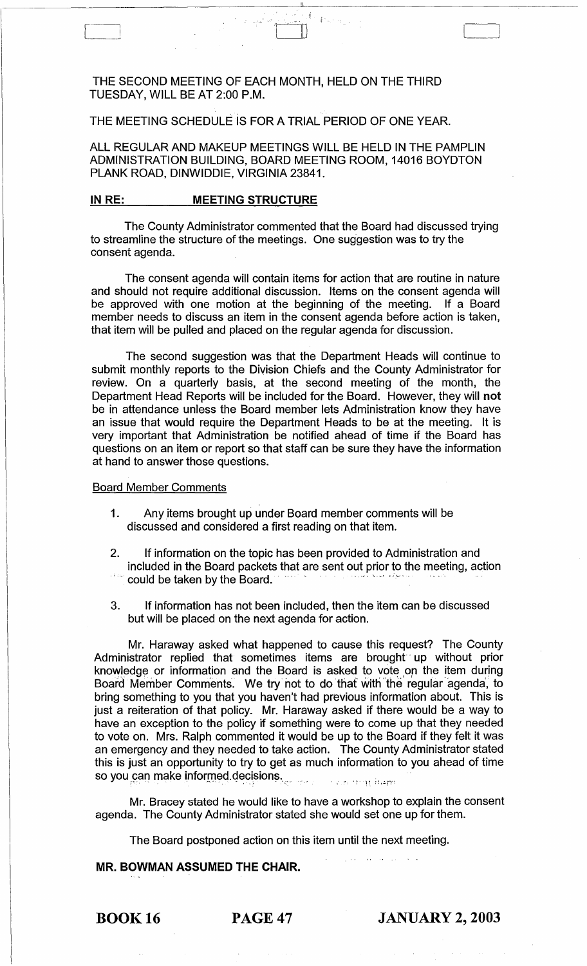# THE SECOND MEETING OF EACH MONTH, HELD ON THE THIRD TUESDAY, WILL BE AT 2:00 P.M.

# THE MEETING SCHEDULE IS FOR A TRIAL PERIOD OF ONE YEAR.

ALL REGULAR AND MAKEUP MEETINGS WILL BE HELD IN THE PAMPLIN ADMINISTRATION BUILDING, BOARD MEETING ROOM, 14016 BOYDTON PLANK ROAD, DINWIDDIE, VIRGINIA 23841.

 $-4.514$ 

#### **IN RE:** MEETING STRUCTURE

 $\begin{bmatrix} 1 & 1 \\ 1 & 1 \end{bmatrix}$ 

The County Administrator commented that the Board had discussed trying to streamline the structure of the meetings. One suggestion was to try the consent agenda.

The consent agenda will contain items for action that are routine in nature and should not require additional discussion. Items on the consent agenda will be approved with one motion at the beginning of the meeting. If a Board member needs to discuss an item in the consent agenda before action is taken, that item will be pulled and placed on the regular agenda for discussion.

The second suggestion was that the Department Heads will continue to submit monthly reports to the Division Chiefs and the County Administrator for review. On a quarterly basis, at the second meeting of the month, the Department Head Reports will be included for the Board. However, they will **not**  be in attendance unless the Board member lets Administration know they have an issue that would require the Department Heads to be at the meeting. It is very important that Administration be notified ahead of time if the Board has questions on an item or report so that staff can be sure they have the information at hand to answer those questions.

## Board Member Comments

- 1. Any items brought up under Board member comments will be discussed and considered a first reading on that item.
- 2. If information on the topic has been provided to Administration and included in the Board packets that are sent out prior to the meeting, action could be taken by the Board.
- 3. If information has not been included, then the item can be discussed but will be placed on the next agenda for action.

Mr. Haraway asked what happened to cause this request? The County Administrator replied that sometimes items are brought' up without prior knowledge or information and the Board is asked to vote on the item during Board Member Comments. We try not to do that with the regular agenda, to bring something to you that you haven't had previous information about. This is just a reiteration of that policy. Mr. Haraway asked if there would be a way to have an exception to the policy if something were to come up that they needed to vote on. Mrs. Ralph commented it would be up to the Board if they felt it was an emergency and they needed to take action. The County Administrator stated this is just an opportunity to try to get as much information to you ahead of time so you can make informed decisions.

Mr. Bracey stated he would like to have a workshop to explain the consent agenda. The County Administrator stated she would set one up for them.

The Board postponed action on this item until the next meeting.

# **MR. BOWMAN ASSUMED THE CHAIR.**

BOOK 16 PAGE 47 **JANUARY 2, 2003**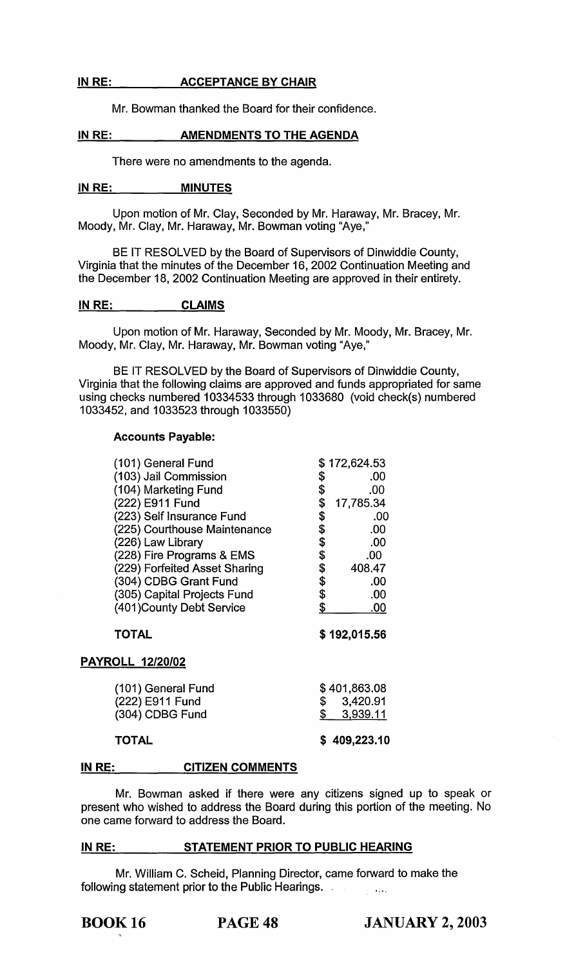# IN RE: ACCEPTANCE BY CHAIR

Mr. Bowman thanked the Board for their confidence.

# IN RE: AMENDMENTS TO THE AGENDA

There were no amendments to the agenda.

#### IN RE: MINUTES

Upon motion of Mr. Clay, Seconded by Mr. Haraway, Mr. Bracey, Mr. Moody, Mr. Clay, Mr. Haraway, Mr. Bowman voting "Aye,"

BE IT RESOLVED by the Board of Supervisors of Dinwiddie County, Virginia that the minutes of the December 16, 2002 Continuation Meeting and the December 18, 2002 Continuation Meeting are approved in their entirety.

# IN RE: CLAIMS

Upon motion of Mr. Haraway, Seconded by Mr. Moody, Mr. Bracey, Mr. Moody, Mr. Clay, Mr. Haraway, Mr. Bowman voting "Aye,"

BE IT RESOLVED by the Board of Supervisors of Dinwiddie County, Virginia that the following claims are approved and funds appropriated for same using checks numbered 10334533 through 1033680 (void check(s) numbered 1033452, and 1033523 through 1033550)

# Accounts Payable:

| (101) General Fund            |                     | \$172,624.53 |
|-------------------------------|---------------------|--------------|
| (103) Jail Commission         |                     | .00          |
| (104) Marketing Fund          |                     | .00          |
| (222) E911 Fund               | <b>\$\$\$\$\$\$</b> | 17,785.34    |
| (223) Self Insurance Fund     |                     | .00          |
| (225) Courthouse Maintenance  |                     | .00          |
| (226) Law Library             |                     | .00          |
| (228) Fire Programs & EMS     | \$\$\$\$\$\$        | .00.         |
| (229) Forfeited Asset Sharing |                     | 408.47       |
| (304) CDBG Grant Fund         |                     | .00          |
| (305) Capital Projects Fund   |                     | .00          |
| (401) County Debt Service     |                     | <u>.00</u>   |
| <b>TOTAL</b>                  |                     | \$192,015.56 |
| PAYROLL 12/20/02              |                     |              |
| (101) General Fund            |                     | \$401,863.08 |
| (222) E911 Fund               | \$                  | 3,420.91     |
| (304) CDBG Fund               | \$                  | 3,939.11     |
| TOTAL                         | S                   | 409,223.10   |

#### IN RE: CITIZEN COMMENTS

Mr. Bowman asked if there were any citizens signed up to speak or present who wished to address the Board during this portion of the meeting. No one came forward to address the Board.

#### IN RE: STATEMENT PRIOR TO PUBLIC HEARING

Mr. William C. Scheid, Planning Director, came forward to make the following statement prior to the Public Hearings.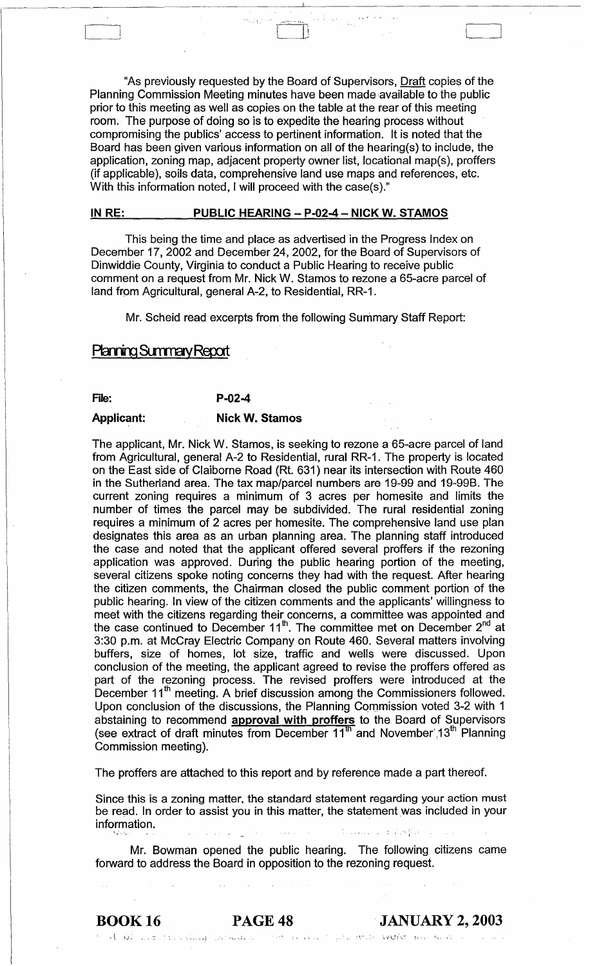"As previously requested by the Board of Supervisors, Draft copies of the Planning Commission Meeting minutes have been made available to the public prior to this meeting as well as copies on the table at the rear of this meeting room. The purpose of doing so is to expedite the hearing process without compromising the publics' access to pertinent information. It is noted that the Board has been given various information on all of the hearing(s) to include, the application, zoning map, adjacent property owner list, locational map(s), proffers (if applicable), soils data, comprehensive land use maps and references, etc. With this information noted, I will proceed with the case(s)."

". . ~. . ... :.... .. "'"

 $\Box$ 

#### IN RE: PUBLIC HEARING - P-02-4 - NICK W. STAMOS

This being the time and place as advertised in the Progress Index on December 17, 2002 and December 24, 2002, for the Board of Supervisors of Dinwiddie County, Virginia to conduct a Public Hearing to receive public comment on a request from Mr. Nick W. Stamos to rezone a 65-acre parcel of land from Agricultural, general A-2, to Residential, RR-1.

Mr. Scheid read excerpts from the following Summary Staff Report:

# **Planning Summary Report**

## File: P-02-4

#### Applicant: Nick W. Stamos

The applicant, Mr. Nick W. Stamos, is seeking to rezone a 65-acre parcel of land from Agricultural, general A-2 to Residential, rural RR-1. The property is located on the East side of Claiborne Road (Rt. 631) near its intersection with Route 460 in the Sutherland area. The tax map/parcel numbers are 19-99 and 19-99B. The current zoning requires a minimum of 3 acres per homesite and limits the number of times the parcel may be subdivided. The rural residential zoning requires a minimum of 2 acres per homesite. The comprehensive land use plan designates this area as an urban planning area. The planning staff introduced the case and noted that the applicant offered several proffers if the rezoning application was approved. During the public hearing portion of the meeting, several citizens spoke noting concerns they had with the request. After hearing the citizen comments, the Chairman closed the public comment portion of the public hearing. In view of the citizen comments and the applicants' willingness to meet with the citizens regarding their concerns, a committee was appointed and the case continued to December  $11<sup>th</sup>$ . The committee met on December  $2<sup>nd</sup>$  at 3:30 p.m. at McCray Electric Company on Route 460. Several matters involving buffers, size of homes, lot size, traffic and wells were discussed. Upon conclusion of the meeting, the applicant agreed to revise the proffers offered as part of the rezoning process. The revised proffers were introduced at the December 11<sup>th</sup> meeting. A brief discussion among the Commissioners followed. Upon conclusion of the discussions, the Planning Commission voted 3-2 with 1 abstaining to recommend **approval with proffers** to the Board of Supervisors (see extract of draft minutes from December  $11^{\text{th}}$  and November 13<sup>th</sup> Planning Commission meeting).

The proffers are attached to this report and by reference made a part thereof.

Since this is a zoning matter, the standard statement regarding your action must be read. In order to assist you in this matter, the statement was included in your information. . , .. ; : .... ; .:

Mr. Bowman opened the public hearing. The following citizens came forward to address the Board in opposition to the rezoning request.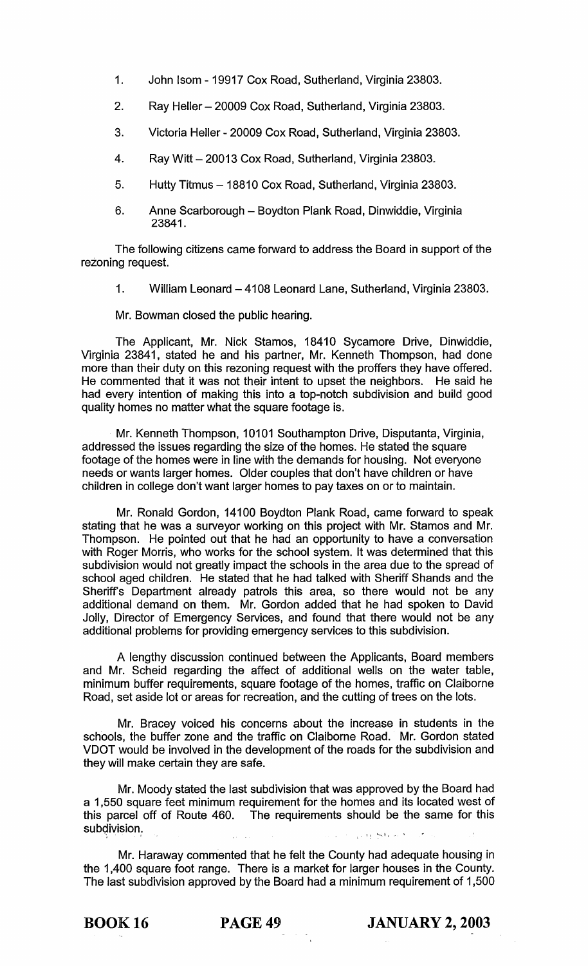- 1. John Isom 19917 Cox Road, Sutherland, Virginia 23803.
- 2. Ray Heller 20009 Cox Road, Sutherland, Virginia 23803.
- 3. Victoria Heller 20009 Cox Road, Sutherland, Virginia 23803.
- 4. Ray Witt 20013 Cox Road, Sutherland, Virginia 23803.
- 5. Hutty Titmus 18810 Cox Road, Sutherland, Virginia 23803.
- 6. Anne Scarborough Boydton Plank Road, Dinwiddie, Virginia 23841.

The following citizens came forward to address the Board in support of the rezoning request.

1. William Leonard - 4108 Leonard Lane, Sutherland, Virginia 23803.

Mr. Bowman closed the public hearing.

The Applicant, Mr. Nick Stamos, 18410 Sycamore Drive, Dinwiddie, Virginia 23841, stated he and his partner, Mr. Kenneth Thompson, had done more than their duty on this rezoning request with the proffers they have offered. He commented that it was not their intent to upset the neighbors. He said he had every intention of making this into a top-notch subdivision and build good quality homes no matter what the square footage is.

Mr. Kenneth Thompson, 10101 Southampton Drive, Disputanta, Virginia, addressed the issues regarding the size of the homes. He stated the square footage of the homes were in line with the demands for housing. Not everyone needs or wants larger homes. Older couples that don't have children or have children in college don't want larger homes to pay taxes on or to maintain.

Mr. Ronald Gordon, 14100 Boydton Plank Road, came forward to speak stating that he was a surveyor working on this project with Mr. Stamos and Mr. Thompson. He pointed out that he had an opportunity to have a conversation with Roger Morris, who works for the school system. It was determined that this subdivision would not greatly impact the schools in the area due to the spread of school aged children. He stated that he had talked with Sheriff Shands and the Sheriff's Department already patrols this area, so there would not be any additional demand on them. Mr. Gordon added that he had spoken to David Jolly, Director of Emergency Services, and found that there would not be any additional problems for providing emergency services to this subdivision.

A lengthy discussion continued between the Applicants, Board members and Mr. Scheid regarding the affect of additional wells on the water table, minimum buffer requirements, square footage of the homes, traffic on Claiborne Road, set aside lot or areas for recreation, and the cutting of trees on the lots.

Mr. Bracey voiced his concerns about the increase in students in the schools, the buffer zone and the traffic on Claiborne Road. Mr. Gordon stated VDOT would be involved in the development of the roads for the subdivision and they will make certain they are safe.

Mr. Moody stated the last subdivision that was approved by the Board had a 1,550 square feet minimum requirement for the homes and its located west of this parcel off of Route 460. The requirements should be the same for this subdivision.  $\sqrt{\left( \frac{1}{2} \right)^2 + \left( \frac{1}{2} \right)^2 + \left( \frac{1}{2} \right)^2}$ 

Mr. Haraway commented that he felt the County had adequate housing in the 1,400 square foot range. There is a market for larger houses in the County. The last subdivision approved by the Board had a minimum requirement of 1,500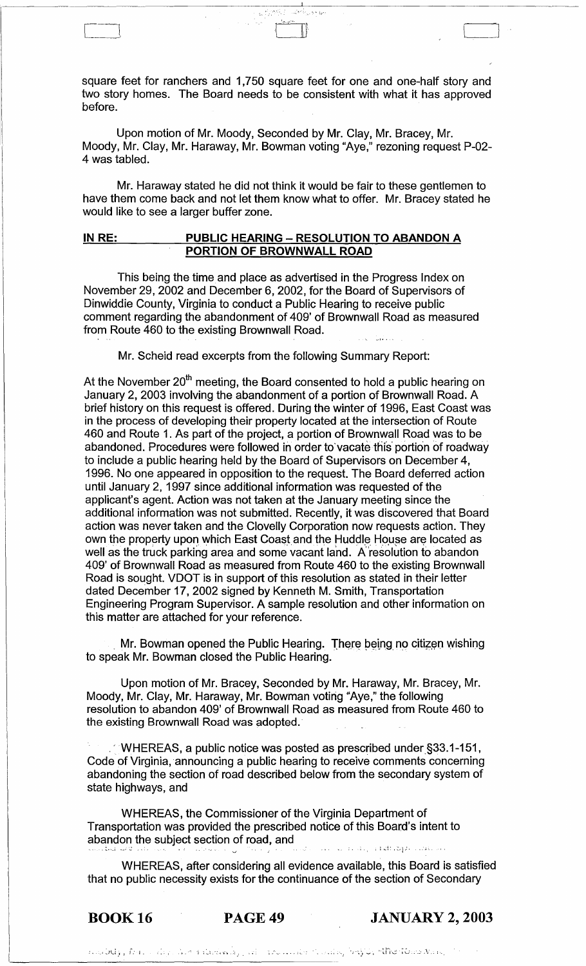square feet for ranchers and 1,750 square feet for one and one-half story and two story homes. The Board needs to be consistent with what it has approved before.

Upon motion of Mr. Moody, Seconded by Mr. Clay, Mr. Bracey, Mr. Moody, Mr. Clay, Mr. Haraway, Mr. Bowman voting "Aye," rezoning request P-02- 4 was tabled.

Mr. Haraway stated he did not think it would be fair to these gentlemen to have them come back and not let them know what to offer. Mr. Bracey stated he would like to see a larger buffer zone.

## **IN RE: PUBLIC HEARING - RESOLUTION TO ABANDON A PORTION OF BROWNWALL ROAD**

This being the time and place as advertised in the Progress Index on November 29,2002 and December 6,2002, for the Board of Supervisors of Dinwiddie County, Virginia to conduct a Public Hearing to receive public comment regarding the abandonment of 409' of Brownwall Road as measured from Route 460 to the existing Brownwall Road.

Mr. Scheid read excerpts from the following Summary Report:

At the November  $20<sup>th</sup>$  meeting, the Board consented to hold a public hearing on January 2, 2003 involving the abandonment of a portion of Brownwall Road. A brief history on this request is offered. During the winter of 1996, East Coast was in the process of developing their property located at the intersection of Route 460 and Route 1. As part of the project, a portion of Brownwall Road was to be abandoned. Procedures were followed in order to vacate this portion of roadway to include a public hearing held by the Board of Supervisors on December 4, 1996. No one appeared in opposition to the request. The Board deferred action until January 2, 1997 since additional information was requested of the applicant's agent. Action was not taken at the January meeting since the additional information was not submitted. Recently, it was discovered that Board action was never taken and the Clovelly Corporation now requests action. They own the property upon which East Coast and the Huddle House are located as well as the truck parking area and some vacant land. A resolution to abandon 409' of Brownwall Road as measured from Route 460 to the existing Brownwall Road is sought. VDOT is in support of this resolution as stated in their letter dated December 17, 2002 signed by Kenneth M. Smith, Transportation Engineering Program Supervisor. A sample resolution and other information on this matter are attached for your reference.

Mr. Bowman opened the Public Hearing. There being no citizen wishing. to speak Mr. Bowman closed the Public Hearing.

Upon motion of Mr. Bracey, Seconded by Mr. Haraway, Mr. Bracey, Mr. Moody, Mr. Clay, Mr. Haraway, Mr. Bowman votirig "Aye," the following resolution to abandon 409' of Brownwall Road as measured from Route 460 to the existing Brownwall Road was adopted.'

. 'WHEREAS, a public notice was posted as prescribed under§33.1-151, Code of Virginia, announcing a public hearing to receive comments concerning abandoning the section of road described below from the secondary system of state highways, and

WHEREAS, the Commissioner of the Virginia Department of Transportation was provided the prescribed notice of this Board's intent to abandon the subject section of road, and .. :,~,\_; ~~,' -,,: \_.:. .' . •. ,\_ .. I. • l ...:1' ,2, *i;'* , .. i l . "

WHEREAS, after considering all evidence available, this Board is satisfied that no public necessity exists for the continuance of the section of Secondary

BOOK 16 PAGE 49 **JANUARY 2, 2003**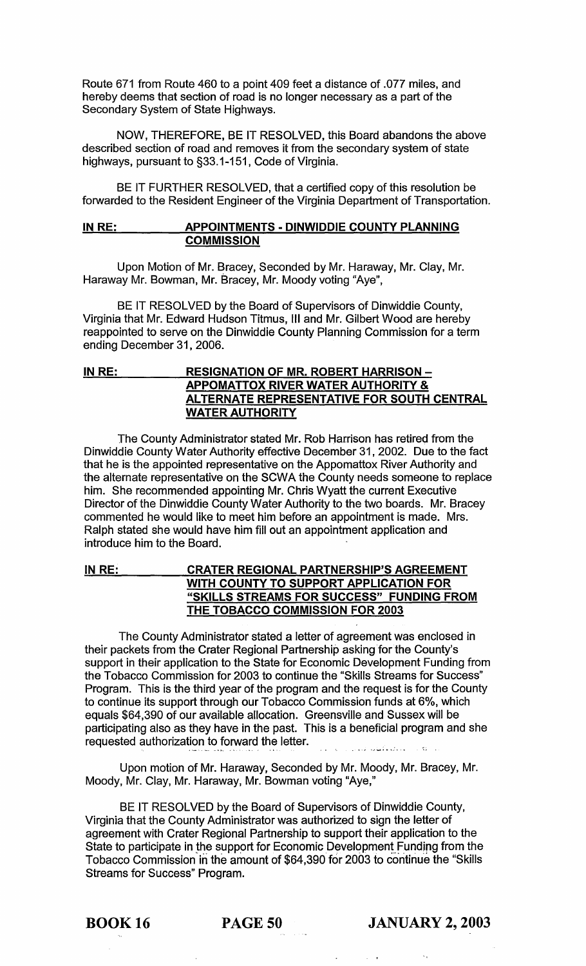Route 671 from Route 460 to a point 409 feet a distance of .077 miles, and hereby deems that section of road is no longer necessary as a part of the Secondary System of State Highways.

NOW, THEREFORE, BE IT RESOLVED, this Board abandons the above described section of road and removes it from the secondary system of state highways, pursuant to §33.1-151, Code of Virginia.

BE IT FURTHER RESOLVED, that a certified copy of this resolution be forwarded to the Resident Engineer of the Virginia Department of Transportation.

# IN RE: APPOINTMENTS - DINWIDDIE COUNTY PLANNING **COMMISSION**

Upon Motion of Mr. Bracey, Seconded by Mr. Haraway, Mr. Clay, Mr. Haraway Mr. Bowman, Mr. Bracey, Mr. Moody voting "Aye",

BE IT RESOLVED by the Board of Supervisors of Dinwiddie County, Virginia that Mr. Edward Hudson Titmus, III and Mr. Gilbert Wood are hereby reappointed to serve on the Dinwiddie County Planning Commission for a term ending December 31, 2006.

# IN RE: RESIGNATION OF MR. ROBERT HARRISON -APPOMATTOX RIVER WATER AUTHORITY & ALTERNATE REPRESENTATIVE FOR SOUTH CENTRAL WATER AUTHORITY

The County Administrator stated Mr. Rob Harrison has retired from the Dinwiddie County Water Authority effective December 31,2002. Due to the fact that he is the appointed representative on the Appomattox River Authority and the alternate representative on the SCWA the County needs someone to replace him. She recommended appointing Mr. Chris Wyatt the current Executive Director of the Dinwiddie County Water Authority to the two boards. Mr. Bracey commented he would like to meet him before an appointment is made. Mrs. Ralph stated she would have him fill out an appointment application and introduce him to the Board.

# IN RE: CRATER REGIONAL PARTNERSHIP'S AGREEMENT WITH COUNTY TO SUPPORT APPLICATION FOR "SKILLS STREAMS FOR SUCCESS" FUNDING FROM THE TOBACCO COMMISSION FOR 2003

The County Administrator stated a letter of agreement was enclosed in their packets from the Crater Regional Partnership asking for the County's support in their application to the State for Economic Development Funding from the Tobacco Commission for 2003 to continue the "Skills Streams for Success" Program. This is the third year of the program and the request is for the County to continue its support through our Tobacco Commission funds at 6%, which equals \$64,390 of our available allocation. Greensville and Sussex will be participating also as they have in the past. This is a beneficial program and she requested authorization to forward the letter. 

Upon motion of Mr. Haraway, Seconded by Mr. Moody, Mr. Bracey, Mr. Moody, Mr. Clay, Mr. Haraway, Mr. Bowman voting "Aye,"

BE IT RESOLVED by the Board of Supervisors of Dinwiddie County, Virginia that the County Administrator was authorized to sign the letter of agreement with Crater Regional Partnership to support their application to the State to participate in the support for Economic Development Funding from the Tobacco Commission in the amount of \$64,390 for 2003 to continue the "Skills" Streams for Success" Program.

**BOOK 16** PAGE 50 JANUARY 2, 2003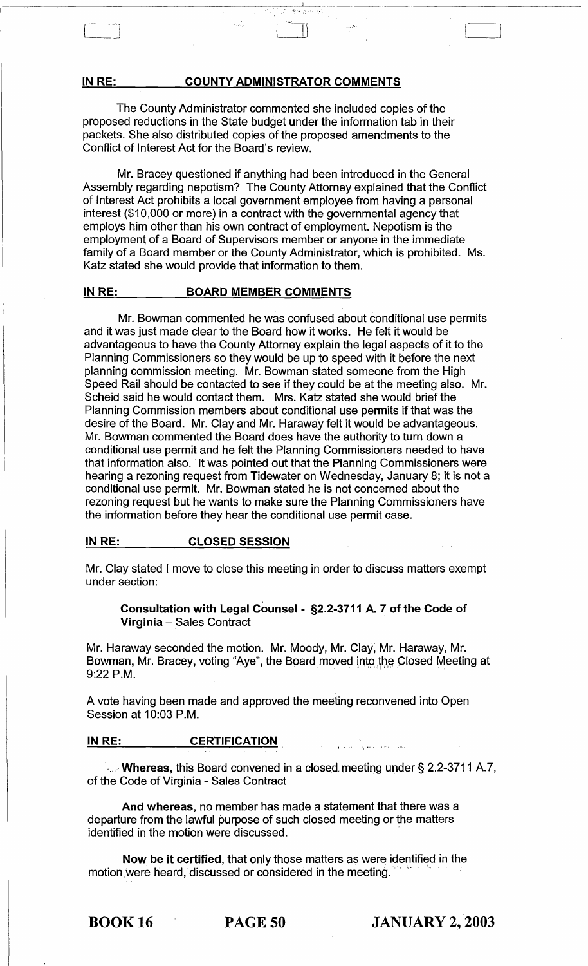# IN RE: COUNTY ADMINISTRATOR COMMENTS

 $\sim 10^{10}$ 

 $\sim$   $\sim$   $\sim$   $\sim$   $\sim$   $\sim$   $\sim$ 

The County Administrator commented she included copies of the proposed reductions in the State budget under the information tab in their packets. She also distributed copies of the proposed amendments to the Conflict of Interest Act for the Board's review.

Mr. Bracey questioned if anything had been introduced in the General Assembly regarding nepotism? The County Attorney explained that the Conflict of Interest Act prohibits a local government employee from having a personal interest (\$10,000 or more) in a contract with the governmental agency that employs him other than his own contract of employment. Nepotism is the employment of a Board of Supervisors member or anyone in the immediate family of a Board member or the County Administrator, which is prohibited. Ms. Katz stated she would provide that information to them.

# IN RE: BOARD MEMBER COMMENTS

Mr. Bowman commented he was confused about conditional use permits and it was just made clear to the Board how it works. He felt it would be advantageous to have the County Attorney explain the legal aspects of it to the Planning Commissioners so they would be up to speed with it before the next planning commission meeting. Mr. Bowman stated someone from the High Speed Rail should be contacted to see if they could be at the meeting also. Mr. Scheid said he would contact them. Mrs. Katz stated she would brief the Planning Commission members about conditional use permits if that was the desire of the Board. Mr. Clay and Mr. Haraway felt it would be advantageous. Mr. Bowman commented the Board does have the authority to turn down a conditional use permit and he felt the Planning Commissioners needed to have that information also. "It was pointed out that the Planning Commissioners were hearing a rezoning request from Tidewater on Wednesday, January 8; it is not a conditional use permit. Mr. Bowman stated he is not concerned about the rezoning request but he wants to make sure the Planning Commissioners have the information before they hear the conditional use permit case.

# IN RE: CLOSED SESSION

Mr. Clay stated I move to close this meeting in order to discuss matters exempt under section:

Consultation with Legal Counsel - §2.2-3711 A. 7 of the Code of Virginia - Sales Contract

Mr. Haraway seconded the motion. Mr. Moody, Mr. Clay, Mr. Haraway, Mr. Bowman, Mr. Bracey, voting "Aye", the Board moved into the Closed Meeting at 9:22 P.M.

A vote having been made and approved the meeting reconvened into Open Session at 10:03 P.M.

## IN RE: CERTIFICATION

 $\cdot$ ... Whereas, this Board convened in a closed meeting under § 2.2-3711 A.7, of the Code of Virginia - Sales Contract

And whereas, no member has made a statement that there was a departure from the lawful purpose of such closed meeting or the matters identified in the motion were discussed. .

Now be it certified, that only those matters as were identified in the motion, were heard, discussed or considered in the meeting.

BOOK 16 PAGE 50 JANUARY 2, 2003